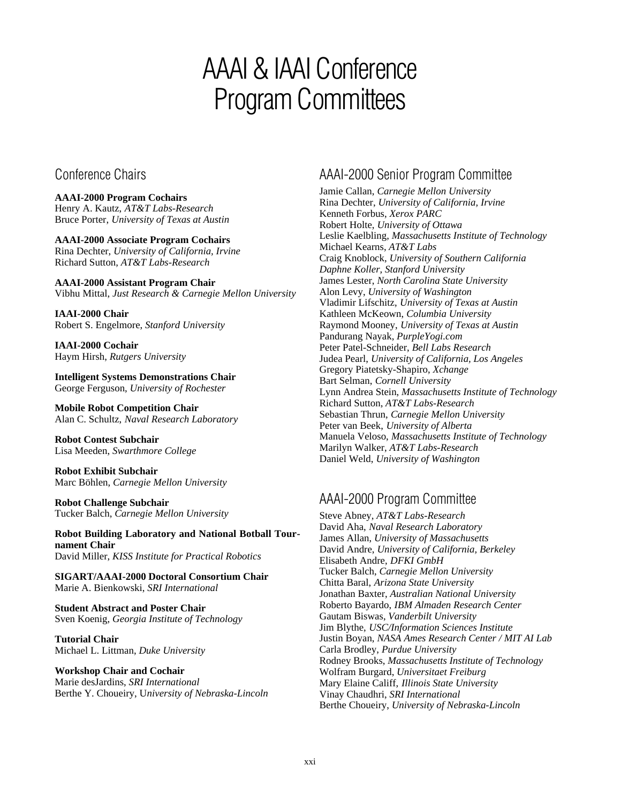# AAAI & IAAI Conference Program Committees

Conference Chairs

**AAAI-2000 Program Cochairs** Henry A. Kautz, *AT&T Labs-Research* Bruce Porter, *University of Texas at Austin*

**AAAI-2000 Associate Program Cochairs** Rina Dechter, *University of California, Irvine* Richard Sutton, *AT&T Labs-Research*

**AAAI-2000 Assistant Program Chair** Vibhu Mittal, *Just Research & Carnegie Mellon University*

**IAAI-2000 Chair** Robert S. Engelmore, *Stanford University*

**IAAI-2000 Cochair** Haym Hirsh, *Rutgers University*

**Intelligent Systems Demonstrations Chair** George Ferguson, *University of Rochester*

**Mobile Robot Competition Chair** Alan C. Schultz, *Naval Research Laboratory*

**Robot Contest Subchair** Lisa Meeden, *Swarthmore College*

**Robot Exhibit Subchair** Marc Böhlen, *Carnegie Mellon University*

**Robot Challenge Subchair** Tucker Balch, *Carnegie Mellon University*

**Robot Building Laboratory and National Botball Tournament Chair** David Miller, *KISS Institute for Practical Robotics*

**SIGART/AAAI-2000 Doctoral Consortium Chair** Marie A. Bienkowski, *SRI International*

**Student Abstract and Poster Chair** Sven Koenig, *Georgia Institute of Technology*

**Tutorial Chair** Michael L. Littman, *Duke University*

**Workshop Chair and Cochair** Marie desJardins, *SRI International* Berthe Y. Choueiry, U*niversity of Nebraska-Lincoln*

## AAAI-2000 Senior Program Committee

Jamie Callan, *Carnegie Mellon University* Rina Dechter, *University of California, Irvine* Kenneth Forbus, *Xerox PARC* Robert Holte, *University of Ottawa* Leslie Kaelbling, *Massachusetts Institute of Technology* Michael Kearns, *AT&T Labs* Craig Knoblock, *University of Southern California Daphne Koller, Stanford University* James Lester, *North Carolina State University* Alon Levy, *University of Washington* Vladimir Lifschitz, *University of Texas at Austin* Kathleen McKeown, *Columbia University* Raymond Mooney, *University of Texas at Austin* Pandurang Nayak, *PurpleYogi.com* Peter Patel-Schneider, *Bell Labs Research* Judea Pearl, *University of California, Los Angeles* Gregory Piatetsky-Shapiro, *Xchange* Bart Selman, *Cornell University* Lynn Andrea Stein, *Massachusetts Institute of Technology* Richard Sutton, *AT&T Labs-Research* Sebastian Thrun, *Carnegie Mellon University* Peter van Beek, *University of Alberta* Manuela Veloso, *Massachusetts Institute of Technology* Marilyn Walker, *AT&T Labs-Research* Daniel Weld, *University of Washington*

### AAAI-2000 Program Committee

Steve Abney, *AT&T Labs-Research* David Aha, *Naval Research Laboratory* James Allan, *University of Massachusetts* David Andre, *University of California, Berkeley* Elisabeth Andre, *DFKI GmbH* Tucker Balch, *Carnegie Mellon University* Chitta Baral, *Arizona State University* Jonathan Baxter, *Australian National University* Roberto Bayardo, *IBM Almaden Research Center* Gautam Biswas, *Vanderbilt University* Jim Blythe, *USC/Information Sciences Institute* Justin Boyan, *NASA Ames Research Center / MIT AI Lab* Carla Brodley, *Purdue University* Rodney Brooks, *Massachusetts Institute of Technology* Wolfram Burgard, *Universitaet Freiburg* Mary Elaine Califf, *Illinois State University* Vinay Chaudhri, *SRI International* Berthe Choueiry, *University of Nebraska-Lincoln*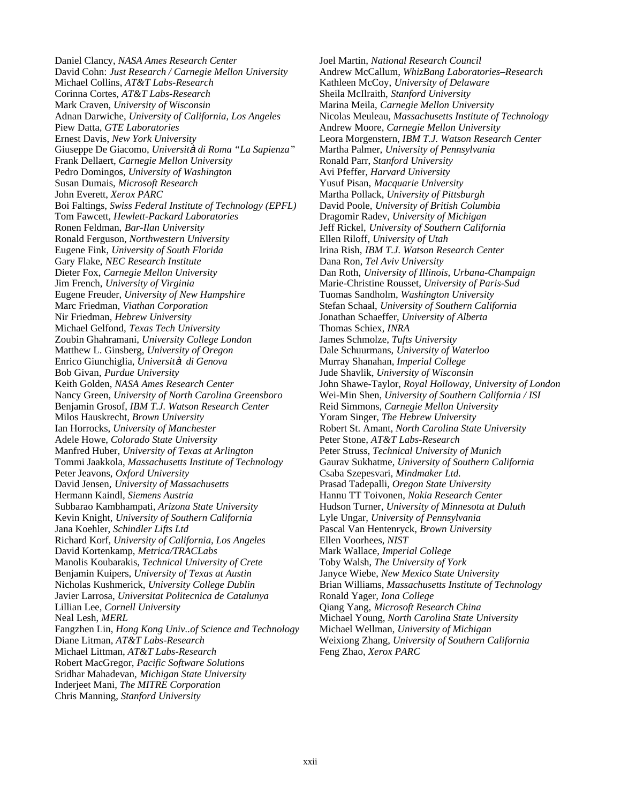Daniel Clancy, *NASA Ames Research Center* David Cohn: *Just Research / Carnegie Mellon University* Michael Collins, *AT&T Labs-Research* Corinna Cortes, *AT&T Labs-Research* Mark Craven, *University of Wisconsin* Adnan Darwiche, *University of California, Los Angeles* Piew Datta, *GTE Laboratories* Ernest Davis, *New York University* Giuseppe De Giacomo, *Universit*à *di Roma "La Sapienza"* Frank Dellaert, *Carnegie Mellon University* Pedro Domingos, *University of Washington* Susan Dumais, *Microsoft Research* John Everett, *Xerox PARC* Boi Faltings, *Swiss Federal Institute of Technology (EPFL)* Tom Fawcett, *Hewlett-Packard Laboratories* Ronen Feldman, *Bar-Ilan University* Ronald Ferguson, *Northwestern University* Eugene Fink, *University of South Florida* Gary Flake, *NEC Research Institute* Dieter Fox, *Carnegie Mellon University* Jim French, *University of Virginia* Eugene Freuder, *University of New Hampshire* Marc Friedman, *Viathan Corporation* Nir Friedman, *Hebrew University* Michael Gelfond, *Texas Tech University* Zoubin Ghahramani, *University College London* Matthew L. Ginsberg, *University of Oregon* Enrico Giunchiglia, *Universit*à *di Genova* Bob Givan, *Purdue University* Keith Golden, *NASA Ames Research Center* Nancy Green, *University of North Carolina Greensboro* Benjamin Grosof, *IBM T.J. Watson Research Center* Milos Hauskrecht, *Brown University* Ian Horrocks, *University of Manchester* Adele Howe, *Colorado State University* Manfred Huber, *University of Texas at Arlington* Tommi Jaakkola, *Massachusetts Institute of Technology* Peter Jeavons, *Oxford University* David Jensen, *University of Massachusetts* Hermann Kaindl, *Siemens Austria* Subbarao Kambhampati, *Arizona State University* Kevin Knight, *University of Southern California* Jana Koehler, *Schindler Lifts Ltd* Richard Korf, *University of California, Los Angeles* David Kortenkamp, *Metrica/TRACLabs* Manolis Koubarakis, *Technical University of Crete* Benjamin Kuipers, *University of Texas at Austin* Nicholas Kushmerick, *University College Dublin* Javier Larrosa, *Universitat Politecnica de Catalunya* Lillian Lee, *Cornell University* Neal Lesh, *MERL* Fangzhen Lin, *Hong Kong Univ..of Science and Technology* Diane Litman, *AT&T Labs-Research* Michael Littman, *AT&T Labs-Research* Robert MacGregor, *Pacific Software Solutions* Sridhar Mahadevan, *Michigan State University* Inderjeet Mani, *The MITRE Corporation* Chris Manning, *Stanford University*

Joel Martin, *National Research Council* Andrew McCallum, *WhizBang Laboratories–Research* Kathleen McCoy, *University of Delaware* Sheila McIlraith, *Stanford University* Marina Meila, *Carnegie Mellon University* Nicolas Meuleau, *Massachusetts Institute of Technology* Andrew Moore, *Carnegie Mellon University* Leora Morgenstern, *IBM T.J. Watson Research Center* Martha Palmer, *University of Pennsylvania* Ronald Parr, *Stanford University* Avi Pfeffer, *Harvard University* Yusuf Pisan, *Macquarie University* Martha Pollack, *University of Pittsburgh* David Poole, *University of British Columbia* Dragomir Radev, *University of Michigan* Jeff Rickel, *University of Southern California* Ellen Riloff, *University of Utah* Irina Rish, *IBM T.J. Watson Research Center* Dana Ron, *Tel Aviv University* Dan Roth, *University of Illinois, Urbana-Champaign* Marie-Christine Rousset, *University of Paris-Sud* Tuomas Sandholm, *Washington University* Stefan Schaal, *University of Southern California* Jonathan Schaeffer, *University of Alberta* Thomas Schiex, *INRA* James Schmolze, *Tufts University* Dale Schuurmans, *University of Waterloo* Murray Shanahan, *Imperial College* Jude Shavlik, *University of Wisconsin* John Shawe-Taylor, *Royal Holloway, University of London* Wei-Min Shen, *University of Southern California / ISI* Reid Simmons, *Carnegie Mellon University* Yoram Singer, *The Hebrew University* Robert St. Amant, *North Carolina State University* Peter Stone, *AT&T Labs-Research* Peter Struss, *Technical University of Munich* Gaurav Sukhatme, *University of Southern California* Csaba Szepesvari, *Mindmaker Ltd.* Prasad Tadepalli, *Oregon State University* Hannu TT Toivonen, *Nokia Research Center* Hudson Turner, *University of Minnesota at Duluth* Lyle Ungar, *University of Pennsylvania* Pascal Van Hentenryck, *Brown University* Ellen Voorhees, *NIST* Mark Wallace, *Imperial College* Toby Walsh, *The University of York* Janyce Wiebe, *New Mexico State University* Brian Williams, *Massachusetts Institute of Technology* Ronald Yager, *Iona College* Qiang Yang, *Microsoft Research China* Michael Young, *North Carolina State University* Michael Wellman, *University of Michigan* Weixiong Zhang, *University of Southern California* Feng Zhao, *Xerox PARC*